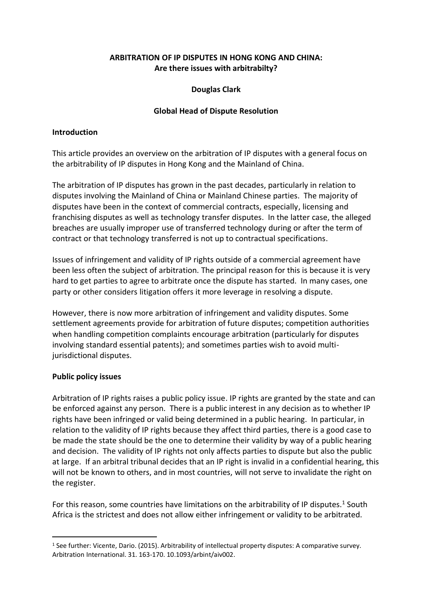## **ARBITRATION OF IP DISPUTES IN HONG KONG AND CHINA: Are there issues with arbitrabilty?**

#### **Douglas Clark**

#### **Global Head of Dispute Resolution**

#### **Introduction**

This article provides an overview on the arbitration of IP disputes with a general focus on the arbitrability of IP disputes in Hong Kong and the Mainland of China.

The arbitration of IP disputes has grown in the past decades, particularly in relation to disputes involving the Mainland of China or Mainland Chinese parties. The majority of disputes have been in the context of commercial contracts, especially, licensing and franchising disputes as well as technology transfer disputes. In the latter case, the alleged breaches are usually improper use of transferred technology during or after the term of contract or that technology transferred is not up to contractual specifications.

Issues of infringement and validity of IP rights outside of a commercial agreement have been less often the subject of arbitration. The principal reason for this is because it is very hard to get parties to agree to arbitrate once the dispute has started. In many cases, one party or other considers litigation offers it more leverage in resolving a dispute.

However, there is now more arbitration of infringement and validity disputes. Some settlement agreements provide for arbitration of future disputes; competition authorities when handling competition complaints encourage arbitration (particularly for disputes involving standard essential patents); and sometimes parties wish to avoid multijurisdictional disputes.

#### **Public policy issues**

Arbitration of IP rights raises a public policy issue. IP rights are granted by the state and can be enforced against any person. There is a public interest in any decision as to whether IP rights have been infringed or valid being determined in a public hearing. In particular, in relation to the validity of IP rights because they affect third parties, there is a good case to be made the state should be the one to determine their validity by way of a public hearing and decision. The validity of IP rights not only affects parties to dispute but also the public at large. If an arbitral tribunal decides that an IP right is invalid in a confidential hearing, this will not be known to others, and in most countries, will not serve to invalidate the right on the register.

For this reason, some countries have limitations on the arbitrability of IP disputes.<sup>1</sup> South Africa is the strictest and does not allow either infringement or validity to be arbitrated.

<sup>1</sup> See further: Vicente, Dario. (2015). Arbitrability of intellectual property disputes: A comparative survey. Arbitration International. 31. 163-170. 10.1093/arbint/aiv002.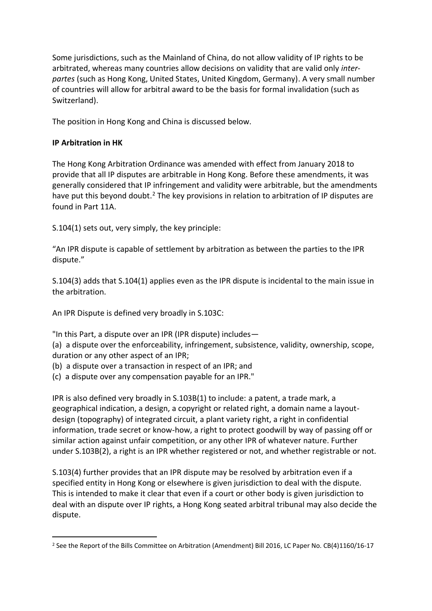Some jurisdictions, such as the Mainland of China, do not allow validity of IP rights to be arbitrated, whereas many countries allow decisions on validity that are valid only *interpartes* (such as Hong Kong, United States, United Kingdom, Germany). A very small number of countries will allow for arbitral award to be the basis for formal invalidation (such as Switzerland).

The position in Hong Kong and China is discussed below.

## **IP Arbitration in HK**

The Hong Kong Arbitration Ordinance was amended with effect from January 2018 to provide that all IP disputes are arbitrable in Hong Kong. Before these amendments, it was generally considered that IP infringement and validity were arbitrable, but the amendments have put this beyond doubt.<sup>2</sup> The key provisions in relation to arbitration of IP disputes are found in Part 11A.

S.104(1) sets out, very simply, the key principle:

"An IPR dispute is capable of settlement by arbitration as between the parties to the IPR dispute."

S.104(3) adds that S.104(1) applies even as the IPR dispute is incidental to the main issue in the arbitration.

An IPR Dispute is defined very broadly in S.103C:

"In this Part, a dispute over an IPR (IPR dispute) includes—

(a) a dispute over the enforceability, infringement, subsistence, validity, ownership, scope, duration or any other aspect of an IPR;

- (b) a dispute over a transaction in respect of an IPR; and
- (c) a dispute over any compensation payable for an IPR."

IPR is also defined very broadly in S.103B(1) to include: a patent, a trade mark, a geographical indication, a design, a copyright or related right, a domain name a layoutdesign (topography) of integrated circuit, a plant variety right, a right in confidential information, trade secret or know-how, a right to protect goodwill by way of passing off or similar action against unfair competition, or any other IPR of whatever nature. Further under S.103B(2), a right is an IPR whether registered or not, and whether registrable or not.

S.103(4) further provides that an IPR dispute may be resolved by arbitration even if a specified entity in Hong Kong or elsewhere is given jurisdiction to deal with the dispute. This is intended to make it clear that even if a court or other body is given jurisdiction to deal with an dispute over IP rights, a Hong Kong seated arbitral tribunal may also decide the dispute.

<sup>&</sup>lt;sup>2</sup> See the Report of the Bills Committee on Arbitration (Amendment) Bill 2016, LC Paper No. CB(4)1160/16-17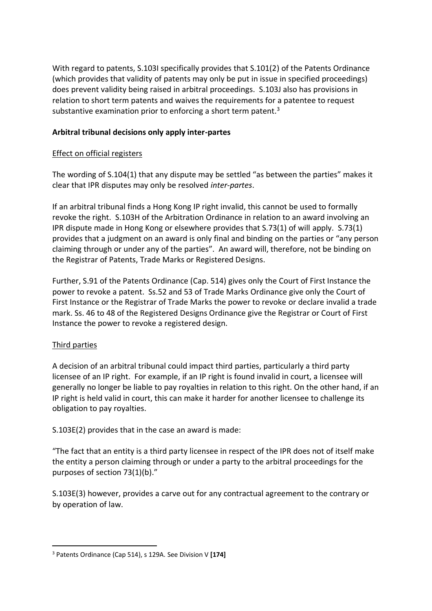With regard to patents, S.103I specifically provides that S.101(2) of the Patents Ordinance (which provides that validity of patents may only be put in issue in specified proceedings) does prevent validity being raised in arbitral proceedings. S.103J also has provisions in relation to short term patents and waives the requirements for a patentee to request substantive examination prior to enforcing a short term patent.<sup>3</sup>

## **Arbitral tribunal decisions only apply inter-partes**

#### Effect on official registers

The wording of S.104(1) that any dispute may be settled "as between the parties" makes it clear that IPR disputes may only be resolved *inter-partes*.

If an arbitral tribunal finds a Hong Kong IP right invalid, this cannot be used to formally revoke the right. S.103H of the Arbitration Ordinance in relation to an award involving an IPR dispute made in Hong Kong or elsewhere provides that S.73(1) of will apply. S.73(1) provides that a judgment on an award is only final and binding on the parties or "any person claiming through or under any of the parties". An award will, therefore, not be binding on the Registrar of Patents, Trade Marks or Registered Designs.

Further, S.91 of the Patents Ordinance (Cap. 514) gives only the Court of First Instance the power to revoke a patent. Ss.52 and 53 of Trade Marks Ordinance give only the Court of First Instance or the Registrar of Trade Marks the power to revoke or declare invalid a trade mark. Ss. 46 to 48 of the Registered Designs Ordinance give the Registrar or Court of First Instance the power to revoke a registered design.

## Third parties

A decision of an arbitral tribunal could impact third parties, particularly a third party licensee of an IP right. For example, if an IP right is found invalid in court, a licensee will generally no longer be liable to pay royalties in relation to this right. On the other hand, if an IP right is held valid in court, this can make it harder for another licensee to challenge its obligation to pay royalties.

S.103E(2) provides that in the case an award is made:

"The fact that an entity is a third party licensee in respect of the IPR does not of itself make the entity a person claiming through or under a party to the arbitral proceedings for the purposes of section 73(1)(b)."

S.103E(3) however, provides a carve out for any contractual agreement to the contrary or by operation of law.

<sup>3</sup> Patents Ordinance (Cap 514), s 129A. See Division V **[174]**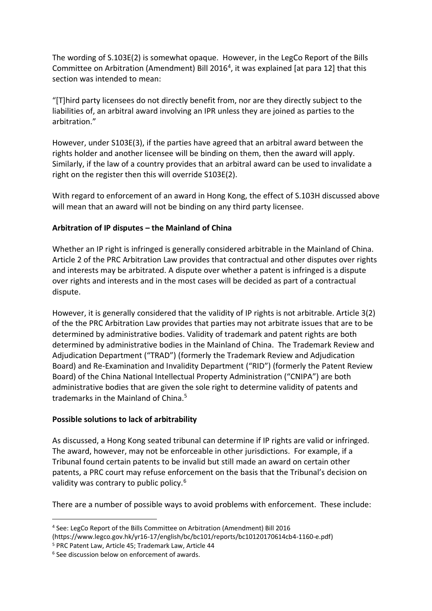The wording of S.103E(2) is somewhat opaque. However, in the LegCo Report of the Bills Committee on Arbitration (Amendment) Bill 2016<sup>4</sup>, it was explained [at para 12] that this section was intended to mean:

"[T]hird party licensees do not directly benefit from, nor are they directly subject to the liabilities of, an arbitral award involving an IPR unless they are joined as parties to the arbitration."

However, under S103E(3), if the parties have agreed that an arbitral award between the rights holder and another licensee will be binding on them, then the award will apply. Similarly, if the law of a country provides that an arbitral award can be used to invalidate a right on the register then this will override S103E(2).

With regard to enforcement of an award in Hong Kong, the effect of S.103H discussed above will mean that an award will not be binding on any third party licensee.

# **Arbitration of IP disputes – the Mainland of China**

Whether an IP right is infringed is generally considered arbitrable in the Mainland of China. Article 2 of the PRC Arbitration Law provides that contractual and other disputes over rights and interests may be arbitrated. A dispute over whether a patent is infringed is a dispute over rights and interests and in the most cases will be decided as part of a contractual dispute.

However, it is generally considered that the validity of IP rights is not arbitrable. Article 3(2) of the the PRC Arbitration Law provides that parties may not arbitrate issues that are to be determined by administrative bodies. Validity of trademark and patent rights are both determined by administrative bodies in the Mainland of China. The Trademark Review and Adjudication Department ("TRAD") (formerly the Trademark Review and Adjudication Board) and Re-Examination and Invalidity Department ("RID") (formerly the Patent Review Board) of the China National Intellectual Property Administration ("CNIPA") are both administrative bodies that are given the sole right to determine validity of patents and trademarks in the Mainland of China.<sup>5</sup>

## **Possible solutions to lack of arbitrability**

As discussed, a Hong Kong seated tribunal can determine if IP rights are valid or infringed. The award, however, may not be enforceable in other jurisdictions. For example, if a Tribunal found certain patents to be invalid but still made an award on certain other patents, a PRC court may refuse enforcement on the basis that the Tribunal's decision on validity was contrary to public policy.<sup>6</sup>

There are a number of possible ways to avoid problems with enforcement. These include:

<sup>4</sup> See: LegCo Report of the Bills Committee on Arbitration (Amendment) Bill 2016

<sup>(</sup>https://www.legco.gov.hk/yr16-17/english/bc/bc101/reports/bc10120170614cb4-1160-e.pdf)

<sup>5</sup> PRC Patent Law, Article 45; Trademark Law, Article 44

<sup>&</sup>lt;sup>6</sup> See discussion below on enforcement of awards.